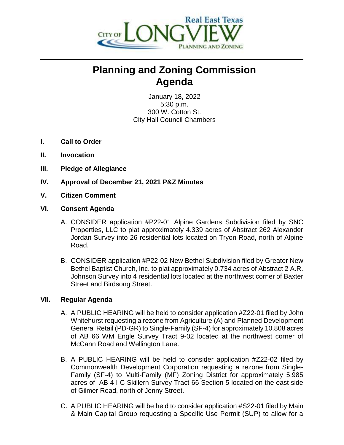

## **Planning and Zoning Commission Agenda**

January 18, 2022 5:30 p.m. 300 W. Cotton St. City Hall Council Chambers

- **I. Call to Order**
- **II. Invocation**
- **III. Pledge of Allegiance**
- **IV. Approval of December 21, 2021 P&Z Minutes**
- **V. Citizen Comment**
- **VI. Consent Agenda**
	- A. CONSIDER application #P22-01 Alpine Gardens Subdivision filed by SNC Properties, LLC to plat approximately 4.339 acres of Abstract 262 Alexander Jordan Survey into 26 residential lots located on Tryon Road, north of Alpine Road.
	- B. CONSIDER application #P22-02 New Bethel Subdivision filed by Greater New Bethel Baptist Church, Inc. to plat approximately 0.734 acres of Abstract 2 A.R. Johnson Survey into 4 residential lots located at the northwest corner of Baxter Street and Birdsong Street.

## **VII. Regular Agenda**

- A. A PUBLIC HEARING will be held to consider application #Z22-01 filed by John Whitehurst requesting a rezone from Agriculture (A) and Planned Development General Retail (PD-GR) to Single-Family (SF-4) for approximately 10.808 acres of AB 66 WM Engle Survey Tract 9-02 located at the northwest corner of McCann Road and Wellington Lane.
- B. A PUBLIC HEARING will be held to consider application #Z22-02 filed by Commonwealth Development Corporation requesting a rezone from Single-Family (SF-4) to Multi-Family (MF) Zoning District for approximately 5.985 acres of AB 4 I C Skillern Survey Tract 66 Section 5 located on the east side of Gilmer Road, north of Jenny Street.
- C. A PUBLIC HEARING will be held to consider application #S22-01 filed by Main & Main Capital Group requesting a Specific Use Permit (SUP) to allow for a